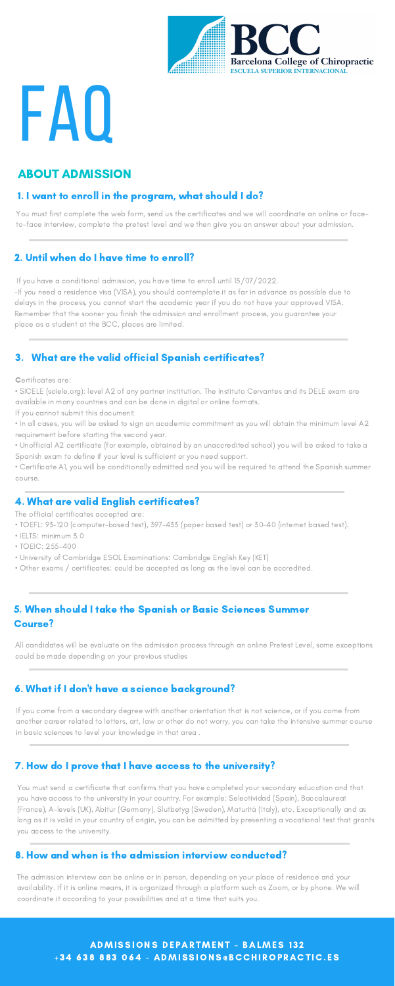

# FAQ

### 1. I want to enroll in the program, what should I do?

If you have a conditional admission, you have time to enroll until 15/07/2022.

-If you need a residence visa (VISA), you should contemplate it as far in advance as possible due to delays in the process, you cannot start the academic year if you do not have your approved VISA. Remember that the sooner you finish the admission and enrollment process, you guarantee your place as a student at the BCC, places are limited.

# ABOUT ADMISSION

You must first complete the web form, send us the certificates and we will coordinate an online or faceto-face interview, complete the pretest level and we then give you an answer about your admission.

#### 2. Until when do I have time to enroll?

# 3. What are the valid official Spanish certificates?

Certificates are:

• SICELE (sciele.org): level A2 of any partner institution. The Instituto Cervantes and its DELE exam are available in many countries and can be done in digital or online formats.

If you cannot submit this document:

• In all cases, you will be asked to sign an academic commitment as you will obtain the minimum level A2 requirement before starting the second year.

• Unofficial A2 certificate (for example, obtained by an unaccredited school) you will be asked to take a Spanish exam to define if your level is sufficient or you need support.

• Certificate A1, you will be conditionally admitted and you will be required to attend the Spanish summer course.

### 4. What are valid English certificates?

The official certificates accepted are:

- TOEFL: 93-120 (computer-based test), 397-433 (paper based test) or 30-40 (internet based test).
- IELTS: minimum 3.0
- TOEIC: 255-400
- University of Cambridge ESOL Examinations: Cambridge English Key (KET)
- Other exams / certificates: could be accepted as long as the level can be accredited.

### 5. When should I take the Spanish or Basic Sciences Summer Course?

All candidates will be evaluate on the admission process through an online Pretest Level, some exceptions could be made depending on your previous studies

#### 6. What if I don't have a science background?

If you come from a secondary degree with another orientation that is not science, or if you come from another career related to letters, art, law or other do not worry, you can take the intensive summer course in basic sciences to level your knowledge in that area .

#### 7. How do I prove that I have access to the university?

You must send a certificate that confirms that you have completed your secondary education and that you have access to the university in your country. For example: Selectividad (Spain), Baccalaureat (France), A-levels (UK), Abitur (Germany), Slutbetyg (Sweden), Maturitá (Italy), etc. Exceptionally and as long as it is valid in your country of origin, you can be admitted by presenting a vocational test that grants you access to the university.

#### 8. How and when is the admission interview conducted?

The admission interview can be online or in person, depending on your place of residence and your availability. If it is online means, it is organized through a platform such as Zoom, or by phone. We will coordinate it according to your possibilities and at a time that suits you.

> ADMISSIONS DEPARTMENT - BALMES 132 +34 638 883 064 - ADMISSIONS@BCCHIROPRACTIC.ES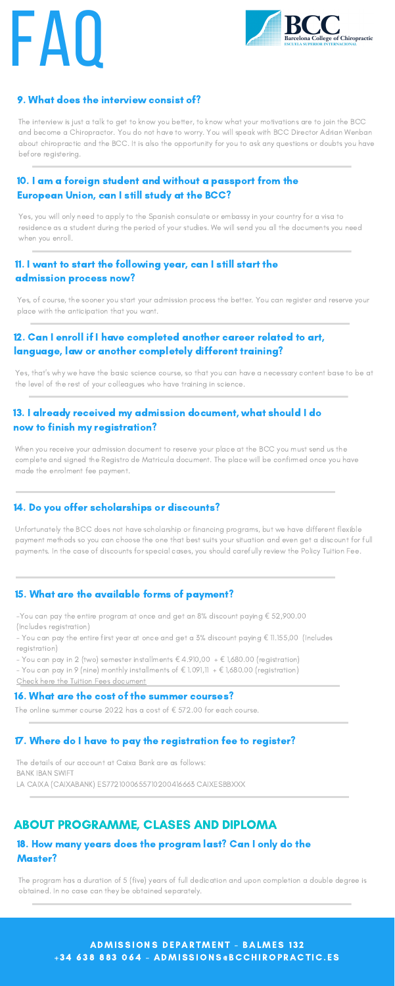# FAU



# 9. What does the interview consist of?

The interview is just a talk to get to know you better, to know what your motivations are to join the BCC and become a Chiropractor. You do not have to worry. You will speak with BCC Director Adrian Wenban about chiropractic and the BCC. It is also the opportunity for you to ask any questions or doubts you have before registering.

# 10. I am a foreign student and without a passport from the European Union, can I still study at the BCC?

Yes, you will only need to apply to the Spanish consulate or embassy in your country for a visa to residence as a student during the period of your studies. We will send you all the documents you need when you enroll.

# 11. I want to start the following year, can I still start the admission process now?

Yes, of course, the sooner you start your admission process the better. You can register and reserve your place with the anticipation that you want.

# 12. Can I enroll if I have completed another career related to art, language, law or another completely different training?

Yes, that's why we have the basic science course, so that you can have a necessary content base to be at the level of the rest of your colleagues who have training in science.

# 13. I already received my admission document, what should I do now to finish my registration?

When you receive your admission document to reserve your place at the BCC you must send us the complete and signed the Registro de Matricula document. The place will be confirmed once you have made the enrolment fee payment.

# 14. Do you offer scholarships or discounts?

Unfortunately the BCC does not have scholarship or financing programs, but we have different flexible payment methods so you can choose the one that best suits your situation and even get a discount for full payments. In the case of discounts for special cases, you should carefully review the Policy Tuition Fee.

#### 15. What are the available forms of payment?

-You can pay the entire program at once and get an 8% discount paying € 52,900.00 (Includes registration)

- You can pay the entire first year at once and get a 3% discount paying € 11.155,00 (Includes registration)

- You can pay in 2 (two) semester installments  $\epsilon$  4.910,00 +  $\epsilon$  1,680.00 (registration)

- You can pay in 9 (nine) monthly installments of  $\epsilon$  1.091,11 +  $\epsilon$  1,680.00 (registration)

Check here the Tuition Fees [document](https://bcchiropractic.es/wp-content/uploads/2020/12/BCC-course-Fees-2021-2022-ADMISSIONS.pdf)

#### 16. What are the cost of the summer courses?

The online summer course 2022 has a cost of  $\epsilon$  572.00 for each course.

#### 17. Where do I have to pay the registration fee to register?

The details of our account at Caixa Bank are as follows: BANK IBAN SWIFT LA CAIXA (CAIXABANK) ES7721000655710200416663 CAIXESBBXXX

#### 18. How many years does the program last? Can I only do the Master?

The program has a duration of 5 (five) years of full dedication and upon completion a double degree is obtained. In no case can they be obtained separately.

> ADMISSIONS DEPARTMENT - BALMES 132 +34 638 883 064 - ADMISSIONS@BCCHIROPRACTIC.ES

# ABOUT PROGRAMME, CLASES AND DIPLOMA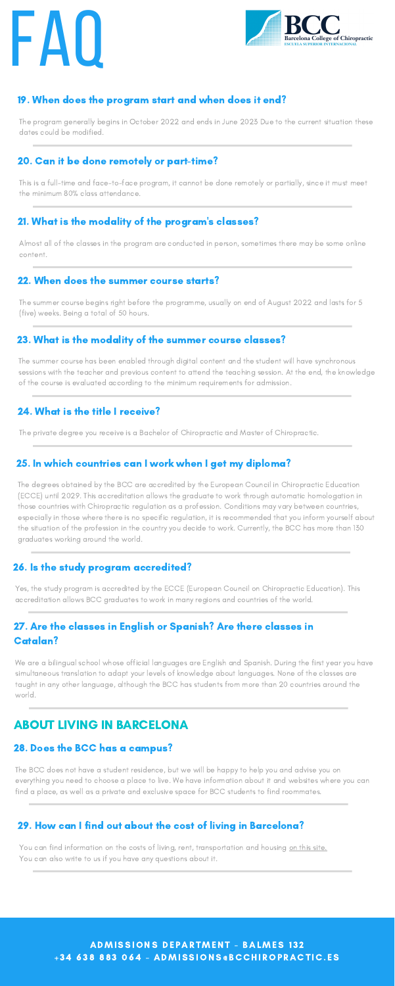# **FAU**



# 19. When does the program start and when does it end?

The program generally begins in October 2022 and ends in June 2023 Due to the current situation these dates could be modified.

### 20. Can it be done remotely or part-time?

This is a full-time and face-to-face program, it cannot be done remotely or partially, since it must meet the minimum 80% class attendance.

# 21. What is the modality of the program's classes?

Almost all of the classes in the program are conducted in person, sometimes there may be some online content.

#### 22. When does the summer course starts?

The summer course begins right before the programme, usually on end of August 2022 and lasts for 5 (five) weeks. Being a total of 50 hours.

#### 23. What is the modality of the summer course classes?

The summer course has been enabled through digital content and the student will have synchronous sessions with the teacher and previous content to attend the teaching session. At the end, the knowledge of the course is evaluated according to the minimum requirements for admission.

# 24. What is the title I receive?

The private degree you receive is a Bachelor of Chiropractic and Master of Chiropractic.

### 25. In which countries can I work when I get my diploma?

You can find information on the costs of living, rent, transportation and housing on this [site.](https://www.barcelona.cat/internationalwelcome/) You can also write to us if you have any questions about it.

> ADMISSIONS DEPARTMENT - BALMES 132 +34 638 883 064 - ADMISSIONS@BCCHIROPRACTIC.ES

The degrees obtained by the BCC are accredited by the European Council in Chiropractic Education (ECCE) until 2029. This accreditation allows the graduate to work through automatic homologation in those countries with Chiropractic regulation as a profession. Conditions may vary between countries, especially in those where there is no specific regulation, it is recommended that you inform yourself about the situation of the profession in the country you decide to work. Currently, the BCC has more than 130 graduates working around the world.

# 26. Is the study program accredited?

Yes, the study program is accredited by the ECCE (European Council on Chiropractic Education). This

accreditation allows BCC graduates to work in many regions and countries of the world.

# 27. Are the classes in English or Spanish? Are there classes in Catalan?

We are a bilingual school whose official languages are English and Spanish. During the first year you have simultaneous translation to adapt your levels of knowledge about languages. None of the classes are taught in any other language, although the BCC has students from more than 20 countries around the world.

#### 28. Does the BCC has a campus?

The BCC does not have a student residence, but we will be happy to help you and advise you on everything you need to choose a place to live. We have information about it and websites where you can find a place, as well as a private and exclusive space for BCC students to find roommates.

# ABOUT LIVING IN BARCELONA

#### 29. How can I find out about the cost of living in Barcelona?